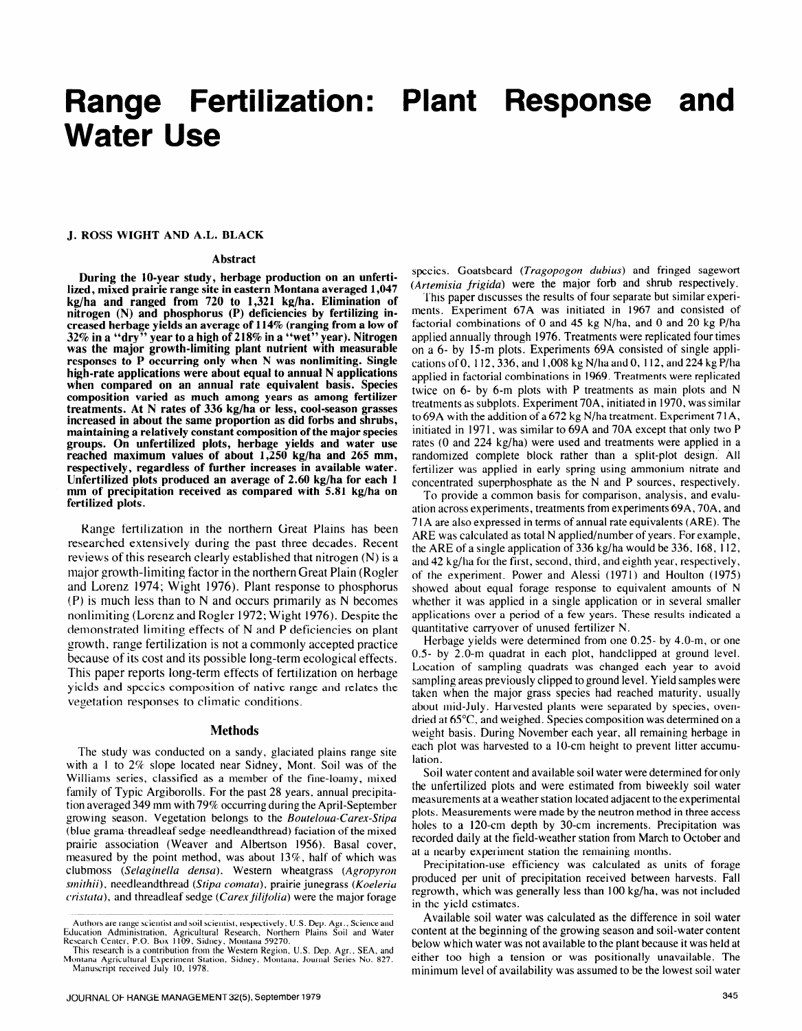# **Range Fertilization: Plant Response and Water Use**

#### **J. ROSS WIGHT AND A.L. BLACK**

#### **Abstract**

**During the IO-year study, herbage production on an unfertilized, mixed prairie range site in eastern Montana averaged 1,047 kg/ha and ranged from 720 to 1,321 kg/ha. Elimination of nitrogen (N) and phosphorus (P) deficiencies by fertilizing increased herbage yields an average of 114% (ranging from a low of 32% in a "dry" year to a high of 218% in a "wet" year). Nitrogen was the major growth-limiting plant nutrient with measurable responses to P occurring only when N was nonlimiting. Single high-rate applications were about equal to annual N applications when compared on an annual rate equivalent basis. Species composition varied as much among years as among fertilizer treatments. At N rates of 336 kg/ha or less, cool-season grasses increased in about the same proportion as did forbs and shrubs, maintaining a relatively constant composition of the major species**  maintaining a relatively constant composition of the major species groups. On unfertilized plots, herbage yields and water use reached maximum values of about 1,250 kg/ha and 265 mm, respectively, regardless of further increases in available water. **Unfertilized plots produced an average of 2.60 kg/ha for each 1** mm of precipitation received as compared with 5.81 kg/ha on fertilized plots.

Range fertilization in the northern Great Plains has been researched extensively during the past three decades. Recent reviews of this research clearly established that nitrogen (N) is a major growth-limiting factor in the northern Great Plain (Rogler and Lorenz 1974; Wight 1976). Plant response to phosphorus  $(P)$  is much less than to N and occurs primarily as N becomes nonlimiting (Lorenz and Rogler 1972; Wight 1976). Despite the demonstrated limiting effects of N and P deficiencies on plant growth, range fertilization is not a commonly accepted practice. because of its cost and its possible long-term ecological effects. This paper reports long-term effects of fertilization on herbage yields and species composition of native range and relates the vegetation responses to climatic conditions.

#### **Methods**

The study was conducted on a sandy, glaciated plains range site with a 1 to  $2\%$  slope located near Sidney, Mont. Soil was of the Williams series, classified as a member of the fine-loamy, mixed family of Typic Argiborolls. For the past 28 years, annual precipitation averaged 349 mm with 79% occurring during the April-September growing season. Vegetation belongs to the Bouteloua-Carex-Stipa (blue grama-threadleaf sedge-needleandthread) faciation of the mixed prairie association (Weaver and Albertson 1956). Basal cover, measured by the point method, was about 13%, half of which was *clubmoss (Selaginella densa).* Western wheatgrass *(Agropyron smithii*), needleandthread (Stipa comata), prairie junegrass (Koeleria *cristata*), and threadleaf sedge (*Carex filifolia*) were the major forage

species. Goatsbeard (Tragopogon dubius) and fringed sagewort (Artemisia frigida) were the major forb and shrub respectively.

'l'hls paper discusses the results of four separate but similar experiments. Experiment 67A was initiated in 1967 and consisted of factorial combinations of 0 and 45 kg N/ha, and 0 and 20 kg P/ha applied annually through 1976. Treatments were replicated four times on a 6- by 15-m plots, Experiments 69A consisted of single applications of 0, 112,336, and 1,008 kg N/ha and 0, I 12, and 224 kg P/ha applied in factorial combinations in 1969. Treatments were replicated twice on 6- by 6-m plots with P treatments as main plots and N treatments as subplots. Experiment 70A, initiated in **1970,** was similar to 69A with the addition of a 672 kg N/ha treatment. Experiment 7 1 A, initiated in 1971, was similar to 69A and 70A except that only two P rates (0 and 224 kg/ha) were used and treatments were applied in a randomized complete block rather than a split-plot design. All fundomized complete offert runner man a spin provides using the concentrated was applied in early spring asing animolitant intrate an concentrated superphosphate as the N and P sources, respectively.<br>To provide a common basis for comparison, analysis, and evalu-

ation across experiments, treatments from experiments 69A, 70A, and alton across experiments, treatments from experiments os A, 70A, and<br>71A are also expressed in terms of annual rate equivalents (ARE). The<br>Range fertilization in the northern Great Plains has been 71A are also expressed in ARE was calculated as total N applied/number of years. For example, the ARE of a single application of  $336 \text{ kg/ha}$  would be  $336$ , 168, 112, and 42 kg/ha for the first, second, third, and eighth year, respectively, of the experiment. Power and Alessi (1971) and Houlton (1975) showed about equal forage response to equivalent amounts of N whether it was applied in a single application or in several smaller applications over a period of a few years. These results indicated a quantitative carryover of unused fertilizer N.

> Herbage yields were determined from one  $0.25$ - by  $4.0$ -m, or one  $0.5$ - by 2.0-m quadrat in each plot, handclipped at ground level. Location of sampling quadrats was changed each year to avoid sampling areas previously clipped to ground level. Yield samples were taken when the major grass species had reached maturity, usually about mid-July. Harvested plants were separated by species, ovendried at  $65^{\circ}$ C, and weighed. Species composition was determined on a weight basis. During November each year, all remaining herbage in each plot was harvested to a 10-cm height to prevent litter accumu- $S^{\text{S}}$  water content and available soil water were determined for only  $S^{\text{S}}$

> Soil water content and available soil water were determined for only the unfertilized plots and were estimated from biweekly soil water measurements at a weather station located adjacent to the experimental plots. Measurements were made by the neutron method in three access holes to a 120-cm depth by 30-cm increments. Precipitation was recorded daily at the field-weather station from March to October and at a nearby experiment station the remaining months.

> Precipitation-use efficiency was calculated as units of forage produced per unit of precipitation received between harvests. Fall regrowth, which was generally less than 100 kg/ha, was not included in the yield estimates.

Authors are range scientist and soil scientist, respectively, U.S. Dep. Agr., Science and Available soil water was calculated as the difference in soil water content at the beginning of the growing season and soil-water content minimum level of availability was assumed to be the lowest soil water

Education Administration, Agricultural Research, Northern Plains Soil and Water<br>Research Center, P.O. Box 1109, Sidney, Montana 59270.

In this issued is a commoduour noin the western region, 0.5. Dep. Net, and Series No. 827. either too high a tension or was positionally unavailable. The Manuscript received July 10, 1978.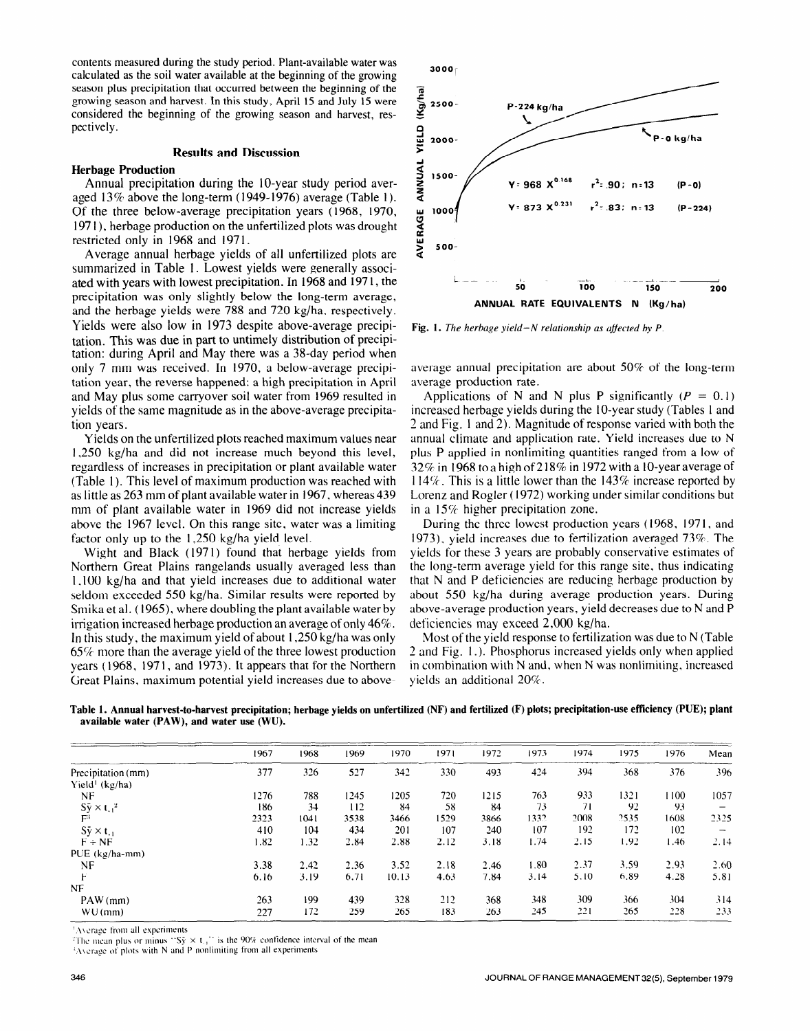contents measured during the study period. Plant-available water was calculated as the soil water available at the beginning of the growing season plus precipitation that occurred between the beginning of the growing season and harvest. In this study, April 15 and July 15 were considered the beginning of the growing season and harvest, respectively.

### **Results and Discussion**

#### **Herbage Production**

Annual precipitation during the IO-year study period averaged  $13\%$  above the long-term (1949-1976) average (Table 1). Of the three below-average precipitation years (1968, 1970, 197 I ), herbage production on the unfertilized plots was drought restricted only in 1968 and 1971.

Average annual herbage yields of all unfertilized plots are summarized in Table 1. Lowest yields were generally associated with years with lowest precipitation. In 1968 and 197 1, the precipitation was only slightly below the long-term average, and the herbage yields were 788 and 720 kg/ha. respectively. Yields were also low in 1973 despite above-average precipitation. This was due in part to untimely distribution of precipitation: during April and May there was a 38-day period when only 7 mm was received. In 1970, a below-average precipitation year, the reverse happened: a high precipitation in April and May plus some carryover soil water from 1969 resulted in yields of the same magnitude as in the above-average precipitation years.

Yields on the unfertilized plots reached maximum values near 1,250 kg/ha and did not increase much beyond this level, regardless of increases in precipitation or plant available water (Table 1). This level of maximum production was reached with as little as 263 mm of plant available water in 1967, whereas 439 mm of plant available water in 1969 did not increase yields above the 1967 level. On this range site, water was a limiting factor only up to the 1,250 kg/ha yield level.

Wight and Black (1971) found that herbage yields from Northern Great Plains rangelands usually averaged less than 1,100 kg/ha and that yield increases due to additional water seldom exceeded 550 kg/ha. Similar results were reported by Smika et al. (1965), where doubling the plant available water by irrigation increased herbage production an average of only 46%. In this study, the maximum yield of about 1,250 kg/ha was only 65% more than the average yield of the three lowest production years (1968, 1971, and 1973). It appears that for the Northern Great Plains, maximum potential yield increases due to above-



**Fig. 1.** *The herbage yield-N relationship as ajfected by P.* 

average annual precipitation are about 50% of the long-term average production rate.

Applications of N and N plus P significantly ( $P = 0.1$ ) increased herbage yields during the IO-year study (Tables 1 and 2 and Fig. 1 and 2). Magnitude of response varied with both the annual climate and application rate. Yield increases due to N plus P applied in nonlimiting quantities ranged from a low of 32% in 1968 to a high of 218% in 1972 with a 10-year average of I 14%. This is a little lower than the 143% increase reported by Lorenz and Rogler ( 1972) working under similar conditions but in a 15% higher precipitation zone.

During the three lowest production years (1968, 1971, and 1973), yield increases due to fertilization averaged 73%. The yields for these 3 years are probably conservative estimates of the long-term average yield for this range site, thus indicating that N and P deficiencies are reducing herbage production by about 550 kg/ha during average production years. During above-average production years, yield decreases due to N and P deficiencies may exceed 2,000 kg/ha.

Most of the yield response to fertilization was due to N (Table 2 and Fig. 1.). Phosphorus increased yields only when applied in combination with N and, when N was nonlimiting, increased yields an additional 20%.

**Table 1. Annual harvest-to-harvest precipitation; herbage yields on unfertilized (NF) and fertilized (F) plots; precipitation-use efficiency WE); plant available water (PAW), and water use (WV).** 

|                              | 1967 | 1968 | 1969 | 1970  | 1971 | 1972 | 1973 | 1974 | 1975 | 1976 | Mean                     |
|------------------------------|------|------|------|-------|------|------|------|------|------|------|--------------------------|
| Precipitation (mm)           | 377  | 326  | 527  | 342   | 330  | 493  | 424  | 394  | 368  | 376  | 396                      |
| Yield <sup>1</sup> (kg/ha)   |      |      |      |       |      |      |      |      |      |      |                          |
| NF                           | 1276 | 788  | 1245 | 1205  | 720  | 1215 | 763  | 933  | 1321 | 1100 | 1057                     |
| $S_{\rm y} \times t_{1.1}^2$ | 186  | 34   | 112  | 84    | 58   | 84   | 73   | 71   | 92   | -93  |                          |
| FЗ                           | 2323 | 1041 | 3538 | 3466  | 1529 | 3866 | 1332 | 2008 | 2535 | 1608 | 2325                     |
| $S_{y} \times t_{-1}$        | 410  | 104  | 434  | 201   | 107  | 240  | 107  | 192  | 172  | 102  | $\overline{\phantom{m}}$ |
| $F \div NF$                  | 1.82 | 1.32 | 2.84 | 2.88  | 2.12 | 3.18 | 1.74 | 2.15 | 1.92 | 1.46 | 2.14                     |
| $PUE (kg/ha-mm)$             |      |      |      |       |      |      |      |      |      |      |                          |
| NF                           | 3.38 | 2.42 | 2.36 | 3.52  | 2.18 | 2.46 | 1.80 | 2.37 | 3.59 | 2.93 | 2.60                     |
|                              | 6.16 | 3.19 | 6.71 | 10.13 | 4.63 | 7.84 | 3.14 | 5.10 | 6.89 | 4.28 | 5.81                     |
| <b>NF</b>                    |      |      |      |       |      |      |      |      |      |      |                          |
| $PAW$ (mm)                   | 263  | 199  | 439  | 328   | 212  | 368  | 348  | 309  | 366  | 304  | 314                      |
| $WU$ (mm)                    | 227  | 172  | 259  | 265   | 183  | 263  | 245  | 221  | 265  | 228  | 233                      |

**'.\\crage from all expcrlments** 

<sup>2</sup>The mean plus or minus "Sy  $\times$  t<sub>11</sub>" is the 90% confidence interval of the mean

**\\cr+c 01 plot\ ulth N and 1' nonlimiting from all experiments**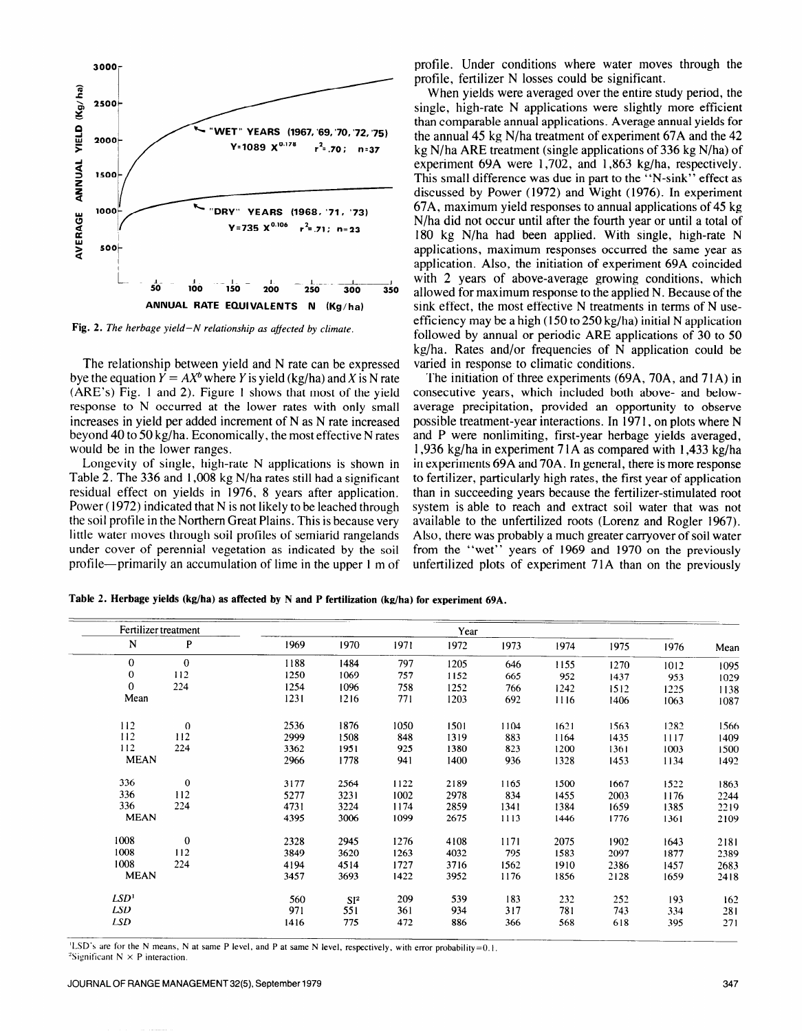

**Fig. 2.** *The herbage yield-N relationship as ajfected by climate.* 

The relationship between yield and N rate can be expressed bye the equation  $Y = AX^b$  where Y is yield (kg/ha) and X is N rate (ARE's) Fig. 1 and 2). Figure 1 shows that most of the yield response to N occurred at the lower rates with only small increases in yield per added increment of N as N rate increased beyond 40 to 50 kg/ha. Economically, the most effective N rates would be in the lower ranges.

Longevity of single, high-rate N applications is shown in Table 2. The 336 and 1,008 kg N/ha rates still had a significant residual effect on yields in 1976, 8 years after application. Power (1972) indicated that N is not likely to be leached through the soil profile in the Northern Great Plains. This is because very little water moves through soil profiles of semiarid rangelands under cover of perennial vegetation as indicated by the soil profile-primarily an accumulation of lime in the upper 1 m of

**3000**<sup>-</sup> **profile.** Under conditions where water moves through the profile, fertilizer N losses could be significant.

> When yields were averaged over the entire study period, the single, high-rate N applications were slightly more efficient than comparable annual applications. Average annual yields for the annual 45 kg N/ha treatment of experiment 67A and the 42 kg N/ha ARE treatment (single applications of 336 kg N/ha) of experiment 69A were 1,702, and 1,863 kg/ha, respectively. This small difference was due in part to the "N-sink" effect as discussed by Power (1972) and Wight (1976). In experiment 67A, maximum yield responses to annual applications of 45 kg N/ha did not occur until after the fourth year or until a total of 180 kg N/ha had been applied. With single, high-rate N applications, maximum responses occurred the same year as application. Also, the initiation of experiment 69A coincided with 2 years of above-average growing conditions, which allowed for maximum response to the applied N. Because of the sink effect, the most effective N treatments in terms of *N* useefficiency may be a high (150 to 250 kg/ha) initial N application followed by annual or periodic ARE applications of 30 to 50 kg/ha. Rates and/or frequencies of N application could be varied in response to climatic conditions.

> The initiation of three experiments (69A, 70A, and 71A) in consecutive years, which included both above- and belowaverage precipitation, provided an opportunity to observe possible treatment-year interactions. In 197 1, on plots where N and P were nonlimiting, first-year herbage yields averaged, 1,936 kg/ha in experiment 7 1 A as compared with 1,433 kg/ha in experiments 69A and 70A. In general, there is more response to fertilizer, particularly high rates, the first year of application than in succeeding years because the fertilizer-stimulated root system is able to reach and extract soil water that was not available to the unfertilized roots (Lorenz and Rogler 1967). Also, there was probably a much greater carryover of soil water from the "wet" years of 1969 and 1970 on the previously unfertilized plots of experiment 7 IA than on the previously

**Table 2. Herbage yields (kg/ha) as affected by N and P fertilization (kg/ha) for experiment 69A.** 

| Fertilizer treatment |              | Year |                 |      |      |      |      |      |      |      |  |  |  |  |  |
|----------------------|--------------|------|-----------------|------|------|------|------|------|------|------|--|--|--|--|--|
| N                    | P            | 1969 | 1970            | 1971 | 1972 | 1973 | 1974 | 1975 | 1976 | Mean |  |  |  |  |  |
| 0                    | $\Omega$     | 1188 | 1484            | 797  | 1205 | 646  | 1155 | 1270 | 1012 | 1095 |  |  |  |  |  |
| $\bf{0}$             | 112          | 1250 | 1069            | 757  | 1152 | 665  | 952  | 1437 | 953  | 1029 |  |  |  |  |  |
| $\bf{0}$             | 224          | 1254 | 1096            | 758  | 1252 | 766  | 1242 | 1512 | 1225 | 1138 |  |  |  |  |  |
| Mean                 |              | 1231 | 1216            | 771  | 1203 | 692  | 1116 | 1406 | 1063 | 1087 |  |  |  |  |  |
| 112                  | $\mathbf{0}$ | 2536 | 1876            | 1050 | 1501 | 1104 | 1621 | 1563 | 1282 | 1566 |  |  |  |  |  |
| 112                  | 112          | 2999 | 1508            | 848  | 1319 | 883  | 1164 | 1435 | 1117 | 1409 |  |  |  |  |  |
| 112                  | 224          | 3362 | 1951            | 925  | 1380 | 823  | 1200 | 1361 | 1003 | 1500 |  |  |  |  |  |
| <b>MEAN</b>          |              | 2966 | 1778            | 941  | 1400 | 936  | 1328 | 1453 | 1134 | 1492 |  |  |  |  |  |
| 336                  | $\bf{0}$     | 3177 | 2564            | 1122 | 2189 | 1165 | 1500 | 1667 | 1522 | 1863 |  |  |  |  |  |
| 336                  | 112          | 5277 | 3231            | 1002 | 2978 | 834  | 1455 | 2003 | 1176 | 2244 |  |  |  |  |  |
| 336                  | 224          | 4731 | 3224            | 1174 | 2859 | 1341 | 1384 | 1659 | 1385 | 2219 |  |  |  |  |  |
| <b>MEAN</b>          |              | 4395 | 3006            | 1099 | 2675 | 1113 | 1446 | 1776 | 1361 | 2109 |  |  |  |  |  |
| 1008                 | $\bf{0}$     | 2328 | 2945            | 1276 | 4108 | 1171 | 2075 | 1902 | 1643 | 2181 |  |  |  |  |  |
| 1008                 | 112          | 3849 | 3620            | 1263 | 4032 | 795  | 1583 | 2097 | 1877 | 2389 |  |  |  |  |  |
| 1008                 | 224          | 4194 | 4514            | 1727 | 3716 | 1562 | 1910 | 2386 | 1457 | 2683 |  |  |  |  |  |
| <b>MEAN</b>          |              | 3457 | 3693            | 1422 | 3952 | 1176 | 1856 | 2128 | 1659 | 2418 |  |  |  |  |  |
| LSD <sup>1</sup>     |              | 560  | SI <sup>2</sup> | 209  | 539  | 183  | 232  | 252  | 193  | 162  |  |  |  |  |  |
| LSD                  |              | 971  | 551             | 361  | 934  | 317  | 781  | 743  | 334  | 281  |  |  |  |  |  |
| LSD.                 |              | 1416 | 775             | 472  | 886  | 366  | 568  | 618  | 395  | 271  |  |  |  |  |  |

'LSD's **are for the N means, N at same P level, and P at same N level, respectively, with error probability=O.** I.  $\frac{2\pi}{3}$  Significant N  $\times$  P interaction.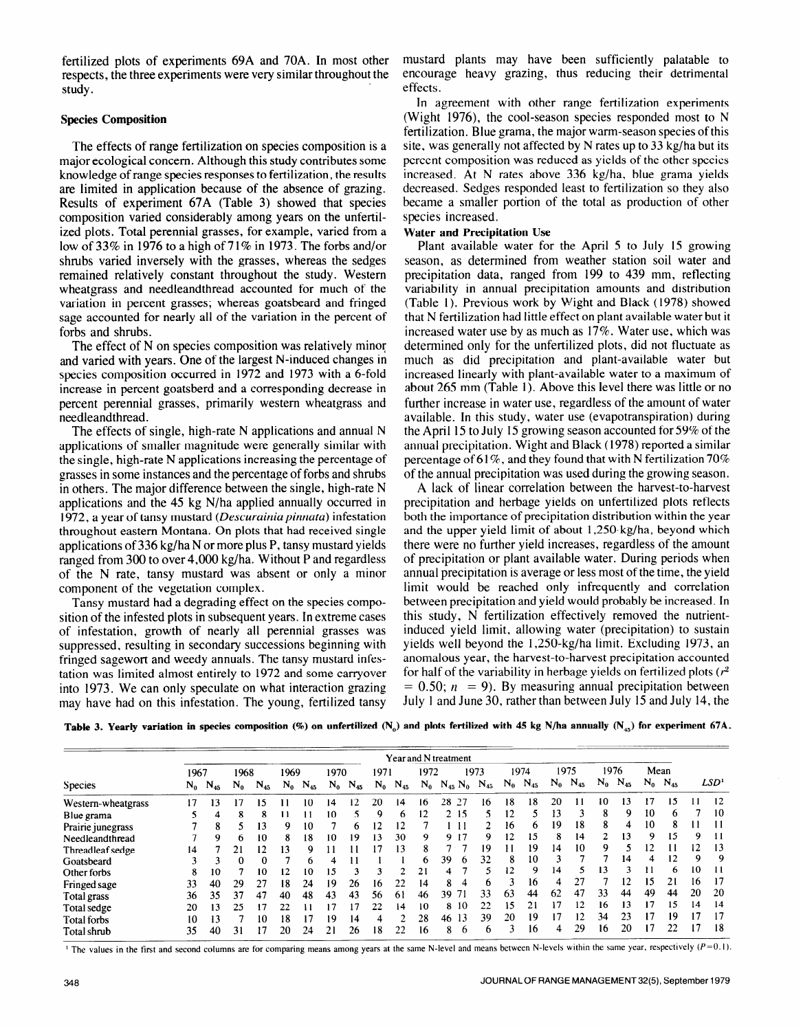fertilized plots of experiments 69A and 70A. In most other mustard plants may have been sufficiently palatable to respects, the three experiments were very similar throughout the encourage heavy grazing, thus reducing their detrimental study. effects

## **Species Composition**

The effects of range fertilization on species composition is a major ecological concern. Although this study contributes some knowledge of range species responses to fertilization, the results are limited in application because of the absence of grazing. Results of experiment 67A (Table 3) showed that species composition varied considerably among years on the unfertilized plots. Total perennial grasses, for example, varied from a low of 33% in 1976 to a high of 71% in 1973. The forbs and/or shrubs varied inversely with the grasses, whereas the sedges remained relatively constant throughout the study. Western wheatgrass and needleandthread accounted for much of the variation in percent grasses; whereas goatsbeard and fringed sage accounted for nearly all of the variation in the percent of forbs and shrubs.

The effect of N on species composition was relatively minor and varied with years. One of the largest N-induced changes in species composition occurred in 1972 and 1973 with a 6-fold increase in percent goatsberd and a corresponding decrease in percent perennial grasses, primarily western wheatgrass and needleandthread.

The effects of single, high-rate N applications and annual N applications of smaller magnitude were generally similar with the single, high-rate N applications increasing the percentage of grasses in some instances and the percentage of forbs and shrubs in others. The major difference between the single, high-rate N applications and the 45 kg N/ha applied annually occurred in 1972, a year of tansy mustard *(Descuruinia pinnatu)* infestation throughout eastern Montana. On plots that had received single applications of 336 kg/ha N or more plus P, tansy mustard yields ranged from 300 to over 4,000 kg/ha. Without P and regardless of the N rate, tansy mustard was absent or only a minor component of the vegetation complex.

Tansy mustard had a degrading effect on the species composition of the infested plots in subsequent years. In extreme cases of infestation, growth of nearly all perennial grasses was suppressed, resulting in secondary successions beginning with fringed sagewort and weedy annuals. The tansy mustard infestation was limited almost entirely to 1972 and some carryover into 1973. We can only speculate on what interaction grazing may have had on this infestation. The young, fertilized tansy

In agreement with other range fertilization experiments (Wight 1976), the cool-season species responded most to N fertilization. Blue grama, the major warm-season species of this site, was generally not affected by N rates up to 33 kg/ha but its percent composition was reduced as yields of the other species increased. At N rates above 336 kg/ha, blue grama yields decreased. Sedges responded least to fertilization so they also became a smaller portion of the total as production of other species increased.

## **Water and Precipitation Use**

Plant available water for the April 5 to July 15 growing season, as determined from weather station soil water and precipitation data, ranged from 199 to 439 mm, reflecting variability in annual precipitation amounts and distribution (Table 1). Previous work by Wight and Black ( 1978) showed that N fertilization had little effect on plant available water but it increased water use by as much as 17%. Water use, which was determined only for the unfertilized plots, did not fluctuate as much as did precipitation and plant-available water but increased linearly with plant-available water to a maximum of about 265 mm (Table 1). Above this level there was little or no further increase in water use, regardless of the amount of water available. In this study, water use (evapotranspiration) during the April 15 to July 15 growing season accounted for 59% of the annual precipitation. Wight and Black ( 1978) reported a similar percentage of 61%, and they found that with N fertilization 70% of the annual precipitation was used during the growing season.

A lack of linear correlation between the harvest-to-harvest precipitation and herbage yields on unfertilized plots reflects both the importance of precipitation distribution within the year and the upper yield limit of about 1,250. kg/ha, beyond which there were no further yield increases, regardless of the amount of precipitation or plant available water. During periods when annual precipitation is average or less most of the time, the yield limit would be reached only infrequently and correlation between precipitation and yield would probably be increased. In this study, N fertilization effectively removed the nutrientinduced yield limit, allowing water (precipitation) to sustain yields well beyond the 1,250-kg/ha limit. Excluding 1973, an anomalous year, the harvest-to-harvest precipitation accounted for half of the variability in herbage yields on fertilized plots  $(r^2)$  $= 0.50$ ;  $n = 9$ ). By measuring annual precipitation between July 1 and June 30, rather than between July 15 and July 14, the

Table 3. Yearly variation in species composition (%) on unfertilized (N<sub>o</sub>) and plots fertilized with 45 kg N/ha annually (N<sub>ax</sub>) for experiment 67A.

| <b>Species</b>     |       | Year and N treatment |              |              |       |          |       |          |       |                |    |                               |    |                |              |       |          |       |          |      |                |    |                  |
|--------------------|-------|----------------------|--------------|--------------|-------|----------|-------|----------|-------|----------------|----|-------------------------------|----|----------------|--------------|-------|----------|-------|----------|------|----------------|----|------------------|
|                    |       | 1967                 |              | 1968         |       | 1969     |       | 1970     |       | 1971           |    | 1972                          |    | 1974<br>1973   |              | 1975  |          | 1976  |          | Mean |                |    |                  |
|                    | $N_0$ | $N_{45}$             | $N_0$        | $\rm N_{45}$ | $N_0$ | $N_{45}$ | $N_0$ | $N_{45}$ | $N_0$ | $N_{45}$       |    | $N_0$ $N_{45}$ $N_0$ $N_{45}$ |    | $\mathbf{N_0}$ | $\rm N_{45}$ | $N_0$ | $N_{45}$ | $N_0$ | $N_{45}$ |      | $N_0$ $N_{45}$ |    | LSD <sup>1</sup> |
| Western-wheatgrass | 17    | 13                   |              | 15           |       | 10       | 14    | 12       | 20    | 14             | 16 | 28<br>-27                     | 16 | 18             | 18           | 20    | 11       | 10    | 13       | 17   | 15             | 11 | 12               |
| Blue grama         |       | 4                    | 8            | 8            |       |          | 10    |          | Q     | b              | 12 | 2 15                          |    | 12             |              | l3    |          | 8     | 9        | 10   | 6              |    | 10               |
| Prairie junegrass  |       | 8                    |              | 13           | 9     | 10       |       | 6.       | 12    | 12             |    |                               |    | 16             | 6            | 19    | 18       | 8     | 4        | 10   | 8              |    |                  |
| Needleandthread    |       | 9                    | <sub>n</sub> | 10           | 8     | 18       | 10    | 19       | 13    | 30             | 9  | 917                           | 9  | 12             | 15           | 8     | 14       |       | 13       | 9    | 15             | 9  | 11               |
| Threadleaf sedge   | 14    |                      |              | 12           | 13    | Q        |       |          |       | 13             | 8  |                               | 19 |                | 19           | 14    | 10       | 9     | 5        | 12   |                | 12 | 13               |
| Goatsbeard         |       |                      | 0            | $\Omega$     |       | h        | 4     |          |       |                | 6  | 39<br><sub>n</sub>            | 32 | 8              | 10           |       |          |       | 14       | 4    | 12             | Q  | 9                |
| Other forbs        | 8     | 10                   |              | 10           | 12    | 10       | 15    |          |       |                | 21 | 4                             | 5  | $\overline{2}$ | 9            | 14    |          | 13    |          |      | 6              | 10 |                  |
| Fringed sage       | 33    | 40                   | 29           | 27           | 18    | 24       | 19    | 26       | 16    | 22             | 14 | 8<br>4                        | b  |                | 16           |       | 27       |       | 2        | 15   | 21             | 16 |                  |
| Total grass        | 36    | 35                   | 37           | 47           | 40    | 48       | 43    | 43       | 56    | 61             | 46 | 71<br>39                      | 33 | 63             | 44           | 62    | 47       | 33    | 44       | 49   | 44             | 20 | 20               |
| Total sedge        | 20    | 13                   | 25           | 17           | 22    | 11       | 17    |          | 22    | 14             | 10 | 8 10                          | 22 | 15             | 21           | 17    | 12       | 16    | 13       | 17   | 15             | 14 | 14               |
| <b>Total forbs</b> | 10    | 13                   |              | 10           | 18    | 17       | 19    | 14       |       | $\overline{2}$ | 28 | 13<br>46                      | 39 | 20             | 19           |       | 12       | 34    | 23       | 17   | 19             | 17 | 17               |
| Total shrub        | 35    | 40                   | 31           | 17           | 20    | 24       | 21    | 26       | 18    | 22             | 16 | 8<br>6                        | 6  | -1             | 16           | 4     | 29       | 16    | 20       | 17   | 22             | 17 | 18               |

The values in the first and second columns are for comparing means among years at the same N-level and means between N-levels within the same year, respectively  $(P=0.1)$ .